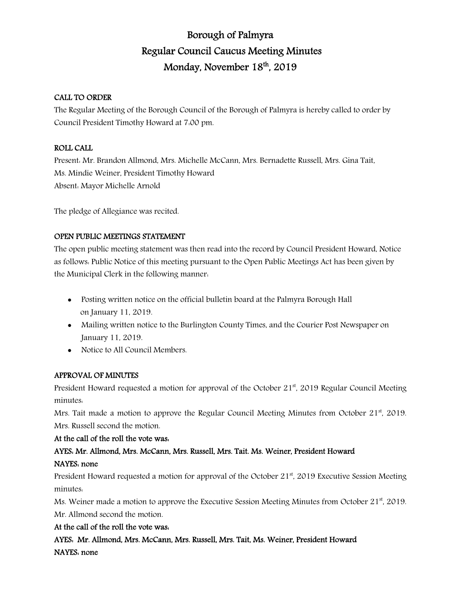# Borough of Palmyra Regular Council Caucus Meeting Minutes Monday, November 18th, 2019

## CALL TO ORDER

The Regular Meeting of the Borough Council of the Borough of Palmyra is hereby called to order by Council President Timothy Howard at 7:00 pm.

### ROLL CALL

Present: Mr. Brandon Allmond, Mrs. Michelle McCann, Mrs. Bernadette Russell, Mrs. Gina Tait, Ms. Mindie Weiner, President Timothy Howard Absent: Mayor Michelle Arnold

The pledge of Allegiance was recited.

## OPEN PUBLIC MEETINGS STATEMENT

The open public meeting statement was then read into the record by Council President Howard, Notice as follows: Public Notice of this meeting pursuant to the Open Public Meetings Act has been given by the Municipal Clerk in the following manner:

- Posting written notice on the official bulletin board at the Palmyra Borough Hall on January 11, 2019.
- Mailing written notice to the Burlington County Times, and the Courier Post Newspaper on January 11, 2019.
- Notice to All Council Members.

## APPROVAL OF MINUTES

President Howard requested a motion for approval of the October  $21<sup>st</sup>$ , 2019 Regular Council Meeting minutes:

Mrs. Tait made a motion to approve the Regular Council Meeting Minutes from October  $21<sup>st</sup>$ , 2019. Mrs. Russell second the motion.

## At the call of the roll the vote was:

# AYES: Mr. Allmond, Mrs. McCann, Mrs. Russell, Mrs. Tait. Ms. Weiner, President Howard NAYES: none

President Howard requested a motion for approval of the October  $21<sup>st</sup>$ , 2019 Executive Session Meeting minutes:

Ms. Weiner made a motion to approve the Executive Session Meeting Minutes from October  $21<sup>st</sup>$ , 2019. Mr. Allmond second the motion.

## At the call of the roll the vote was:

AYES: Mr. Allmond, Mrs. McCann, Mrs. Russell, Mrs. Tait, Ms. Weiner, President Howard NAYES: none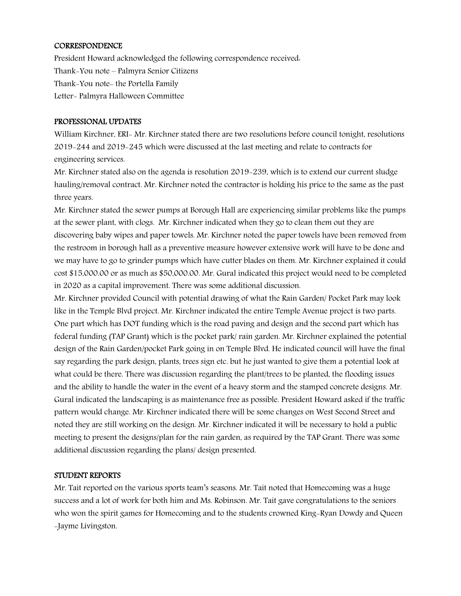#### CORRESPONDENCE

President Howard acknowledged the following correspondence received: Thank-You note – Palmyra Senior Citizens Thank-You note- the Portella Family Letter- Palmyra Halloween Committee

#### PROFESSIONAL UPDATES

William Kirchner, ERI- Mr. Kirchner stated there are two resolutions before council tonight, resolutions 2019-244 and 2019-245 which were discussed at the last meeting and relate to contracts for engineering services.

Mr. Kirchner stated also on the agenda is resolution 2019-239, which is to extend our current sludge hauling/removal contract. Mr. Kirchner noted the contractor is holding his price to the same as the past three years.

Mr. Kirchner stated the sewer pumps at Borough Hall are experiencing similar problems like the pumps at the sewer plant, with clogs. Mr. Kirchner indicated when they go to clean them out they are discovering baby wipes and paper towels. Mr. Kirchner noted the paper towels have been removed from the restroom in borough hall as a preventive measure however extensive work will have to be done and we may have to go to grinder pumps which have cutter blades on them. Mr. Kirchner explained it could cost \$15,000.00 or as much as \$50,000.00. Mr. Gural indicated this project would need to be completed in 2020 as a capital improvement. There was some additional discussion.

Mr. Kirchner provided Council with potential drawing of what the Rain Garden/ Pocket Park may look like in the Temple Blvd project. Mr. Kirchner indicated the entire Temple Avenue project is two parts. One part which has DOT funding which is the road paving and design and the second part which has federal funding (TAP Grant) which is the pocket park/ rain garden. Mr. Kirchner explained the potential design of the Rain Garden/pocket Park going in on Temple Blvd. He indicated council will have the final say regarding the park design, plants, trees sign etc. but he just wanted to give them a potential look at what could be there. There was discussion regarding the plant/trees to be planted, the flooding issues and the ability to handle the water in the event of a heavy storm and the stamped concrete designs. Mr. Gural indicated the landscaping is as maintenance free as possible. President Howard asked if the traffic pattern would change. Mr. Kirchner indicated there will be some changes on West Second Street and noted they are still working on the design. Mr. Kirchner indicated it will be necessary to hold a public meeting to present the designs/plan for the rain garden, as required by the TAP Grant. There was some additional discussion regarding the plans/ design presented.

#### STUDENT REPORTS

Mr. Tait reported on the various sports team's seasons. Mr. Tait noted that Homecoming was a huge success and a lot of work for both him and Ms. Robinson. Mr. Tait gave congratulations to the seniors who won the spirit games for Homecoming and to the students crowned King-Ryan Dowdy and Queen -Jayme Livingston.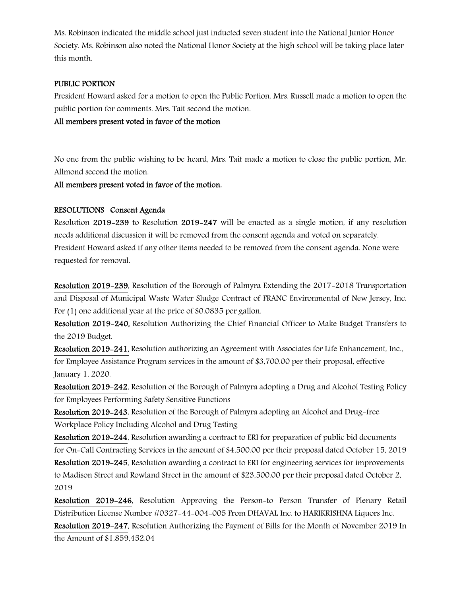Ms. Robinson indicated the middle school just inducted seven student into the National Junior Honor Society. Ms. Robinson also noted the National Honor Society at the high school will be taking place later this month.

#### PUBLIC PORTION

President Howard asked for a motion to open the Public Portion. Mrs. Russell made a motion to open the public portion for comments. Mrs. Tait second the motion.

All members present voted in favor of the motion

No one from the public wishing to be heard, Mrs. Tait made a motion to close the public portion, Mr. Allmond second the motion.

All members present voted in favor of the motion.

#### RESOLUTIONS Consent Agenda

Resolution 2019-239 to Resolution 2019-247 will be enacted as a single motion, if any resolution needs additional discussion it will be removed from the consent agenda and voted on separately. President Howard asked if any other items needed to be removed from the consent agenda. None were requested for removal.

Resolution 2019-239, Resolution of the Borough of Palmyra Extending the 2017-2018 Transportation and Disposal of Municipal Waste Water Sludge Contract of FRANC Environmental of New Jersey, Inc. For (1) one additional year at the price of \$0.0835 per gallon.

Resolution 2019-240, Resolution Authorizing the Chief Financial Officer to Make Budget Transfers to the 2019 Budget.

Resolution 2019-241, Resolution authorizing an Agreement with Associates for Life Enhancement, Inc., for Employee Assistance Program services in the amount of \$3,700.00 per their proposal, effective January 1, 2020.

Resolution 2019-242, Resolution of the Borough of Palmyra adopting a Drug and Alcohol Testing Policy for Employees Performing Safety Sensitive Functions

Resolution 2019-243, Resolution of the Borough of Palmyra adopting an Alcohol and Drug-free Workplace Policy Including Alcohol and Drug Testing

Resolution 2019-244, Resolution awarding a contract to ERI for preparation of public bid documents for On-Call Contracting Services in the amount of \$4,500.00 per their proposal dated October 15, 2019

Resolution 2019-245, Resolution awarding a contract to ERI for engineering services for improvements to Madison Street and Rowland Street in the amount of \$23,500.00 per their proposal dated October 2, 2019

Resolution 2019-246, Resolution Approving the Person-to Person Transfer of Plenary Retail Distribution License Number #0327-44-004-005 From DHAVAL Inc. to HARIKRISHNA Liquors Inc. Resolution 2019-247, Resolution Authorizing the Payment of Bills for the Month of November 2019 In the Amount of \$1,859,452.04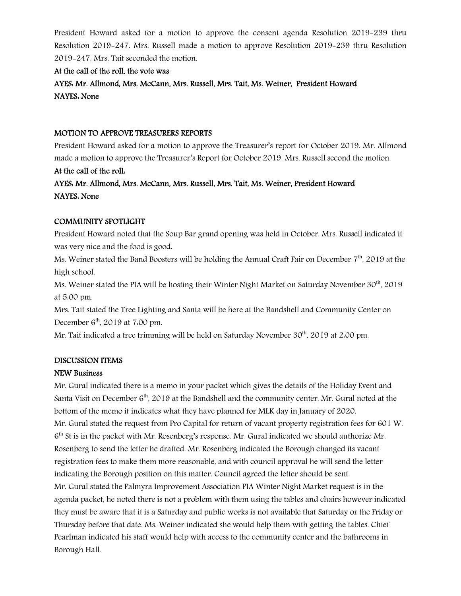President Howard asked for a motion to approve the consent agenda Resolution 2019-239 thru Resolution 2019-247. Mrs. Russell made a motion to approve Resolution 2019-239 thru Resolution 2019-247. Mrs. Tait seconded the motion.

## At the call of the roll, the vote was:

AYES: Mr. Allmond, Mrs. McCann, Mrs. Russell, Mrs. Tait, Ms. Weiner, President Howard NAYES: None

#### MOTION TO APPROVE TREASURERS REPORTS

President Howard asked for a motion to approve the Treasurer's report for October 2019. Mr. Allmond made a motion to approve the Treasurer's Report for October 2019. Mrs. Russell second the motion.

### At the call of the roll:

AYES: Mr. Allmond, Mrs. McCann, Mrs. Russell, Mrs. Tait, Ms. Weiner, President Howard NAYES: None

#### COMMUNITY SPOTLIGHT

President Howard noted that the Soup Bar grand opening was held in October. Mrs. Russell indicated it was very nice and the food is good.

Ms. Weiner stated the Band Boosters will be holding the Annual Craft Fair on December 7<sup>th</sup>, 2019 at the high school.

Ms. Weiner stated the PIA will be hosting their Winter Night Market on Saturday November 30<sup>th</sup>, 2019 at 5:00 pm.

Mrs. Tait stated the Tree Lighting and Santa will be here at the Bandshell and Community Center on December  $6<sup>th</sup>$ , 2019 at 7:00 pm.

Mr. Tait indicated a tree trimming will be held on Saturday November  $30<sup>th</sup>$ , 2019 at 2:00 pm.

#### DISCUSSION ITEMS

#### NEW Business

Mr. Gural indicated there is a memo in your packet which gives the details of the Holiday Event and Santa Visit on December 6<sup>th</sup>, 2019 at the Bandshell and the community center. Mr. Gural noted at the bottom of the memo it indicates what they have planned for MLK day in January of 2020. Mr. Gural stated the request from Pro Capital for return of vacant property registration fees for 601 W. 6<sup>th</sup> St is in the packet with Mr. Rosenberg's response. Mr. Gural indicated we should authorize Mr. Rosenberg to send the letter he drafted. Mr. Rosenberg indicated the Borough changed its vacant registration fees to make them more reasonable, and with council approval he will send the letter indicating the Borough position on this matter. Council agreed the letter should be sent. Mr. Gural stated the Palmyra Improvement Association PIA Winter Night Market request is in the agenda packet, he noted there is not a problem with them using the tables and chairs however indicated they must be aware that it is a Saturday and public works is not available that Saturday or the Friday or Thursday before that date. Ms. Weiner indicated she would help them with getting the tables. Chief Pearlman indicated his staff would help with access to the community center and the bathrooms in Borough Hall.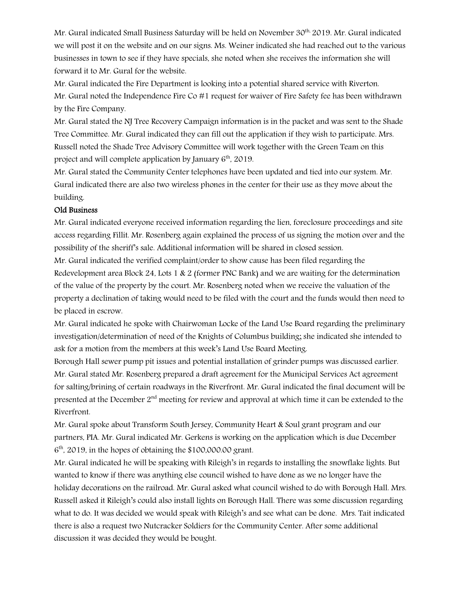Mr. Gural indicated Small Business Saturday will be held on November 30<sup>th,</sup> 2019. Mr. Gural indicated we will post it on the website and on our signs. Ms. Weiner indicated she had reached out to the various businesses in town to see if they have specials, she noted when she receives the information she will forward it to Mr. Gural for the website.

Mr. Gural indicated the Fire Department is looking into a potential shared service with Riverton. Mr. Gural noted the Independence Fire Co  $#1$  request for waiver of Fire Safety fee has been withdrawn by the Fire Company.

Mr. Gural stated the NJ Tree Recovery Campaign information is in the packet and was sent to the Shade Tree Committee. Mr. Gural indicated they can fill out the application if they wish to participate. Mrs. Russell noted the Shade Tree Advisory Committee will work together with the Green Team on this project and will complete application by January 6<sup>th</sup>, 2019.

Mr. Gural stated the Community Center telephones have been updated and tied into our system. Mr. Gural indicated there are also two wireless phones in the center for their use as they move about the building.

#### Old Business

Mr. Gural indicated everyone received information regarding the lien, foreclosure proceedings and site access regarding Fillit. Mr. Rosenberg again explained the process of us signing the motion over and the possibility of the sheriff's sale. Additional information will be shared in closed session.

Mr. Gural indicated the verified complaint/order to show cause has been filed regarding the Redevelopment area Block 24, Lots 1 & 2 (former PNC Bank) and we are waiting for the determination of the value of the property by the court. Mr. Rosenberg noted when we receive the valuation of the property a declination of taking would need to be filed with the court and the funds would then need to be placed in escrow.

Mr. Gural indicated he spoke with Chairwoman Locke of the Land Use Board regarding the preliminary investigation/determination of need of the Knights of Columbus building; she indicated she intended to ask for a motion from the members at this week's Land Use Board Meeting.

Borough Hall sewer pump pit issues and potential installation of grinder pumps was discussed earlier. Mr. Gural stated Mr. Rosenberg prepared a draft agreement for the Municipal Services Act agreement for salting/brining of certain roadways in the Riverfront. Mr. Gural indicated the final document will be presented at the December  $2<sup>nd</sup>$  meeting for review and approval at which time it can be extended to the Riverfront.

Mr. Gural spoke about Transform South Jersey, Community Heart & Soul grant program and our partners, PIA. Mr. Gural indicated Mr. Gerkens is working on the application which is due December  $6<sup>th</sup>$ , 2019, in the hopes of obtaining the \$100,000.00 grant.

Mr. Gural indicated he will be speaking with Rileigh's in regards to installing the snowflake lights. But wanted to know if there was anything else council wished to have done as we no longer have the holiday decorations on the railroad. Mr. Gural asked what council wished to do with Borough Hall. Mrs. Russell asked it Rileigh's could also install lights on Borough Hall. There was some discussion regarding what to do. It was decided we would speak with Rileigh's and see what can be done. Mrs. Tait indicated there is also a request two Nutcracker Soldiers for the Community Center. After some additional discussion it was decided they would be bought.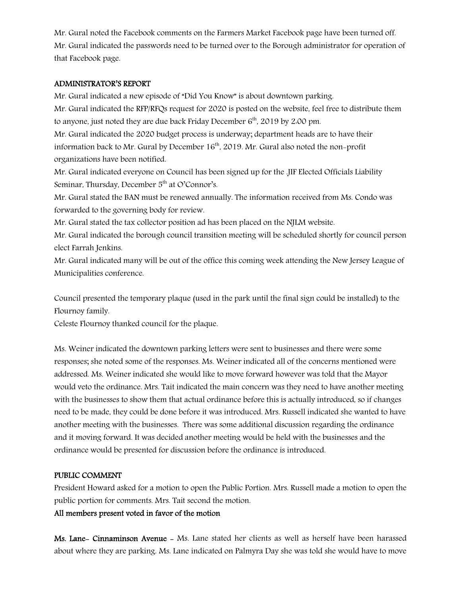Mr. Gural noted the Facebook comments on the Farmers Market Facebook page have been turned off. Mr. Gural indicated the passwords need to be turned over to the Borough administrator for operation of that Facebook page.

#### ADMINISTRATOR'S REPORT

Mr. Gural indicated a new episode of "Did You Know" is about downtown parking. Mr. Gural indicated the RFP/RFQs request for 2020 is posted on the website, feel free to distribute them to anyone, just noted they are due back Friday December  $6<sup>th</sup>$ , 2019 by 2:00 pm.

Mr. Gural indicated the 2020 budget process is underway; department heads are to have their information back to Mr. Gural by December  $16<sup>th</sup>$ , 2019. Mr. Gural also noted the non-profit organizations have been notified.

Mr. Gural indicated everyone on Council has been signed up for the .JIF Elected Officials Liability Seminar, Thursday, December 5<sup>th</sup> at O'Connor's.

Mr. Gural stated the BAN must be renewed annually. The information received from Ms. Condo was forwarded to the governing body for review.

Mr. Gural stated the tax collector position ad has been placed on the NJLM website.

Mr. Gural indicated the borough council transition meeting will be scheduled shortly for council person elect Farrah Jenkins.

Mr. Gural indicated many will be out of the office this coming week attending the New Jersey League of Municipalities conference.

Council presented the temporary plaque (used in the park until the final sign could be installed) to the Flournoy family.

Celeste Flournoy thanked council for the plaque.

Ms. Weiner indicated the downtown parking letters were sent to businesses and there were some responses; she noted some of the responses. Ms. Weiner indicated all of the concerns mentioned were addressed. Ms. Weiner indicated she would like to move forward however was told that the Mayor would veto the ordinance. Mrs. Tait indicated the main concern was they need to have another meeting with the businesses to show them that actual ordinance before this is actually introduced, so if changes need to be made, they could be done before it was introduced. Mrs. Russell indicated she wanted to have another meeting with the businesses. There was some additional discussion regarding the ordinance and it moving forward. It was decided another meeting would be held with the businesses and the ordinance would be presented for discussion before the ordinance is introduced.

#### PUBLIC COMMENT

President Howard asked for a motion to open the Public Portion. Mrs. Russell made a motion to open the public portion for comments. Mrs. Tait second the motion.

#### All members present voted in favor of the motion

Ms. Lane- Cinnaminson Avenue - Ms. Lane stated her clients as well as herself have been harassed about where they are parking. Ms. Lane indicated on Palmyra Day she was told she would have to move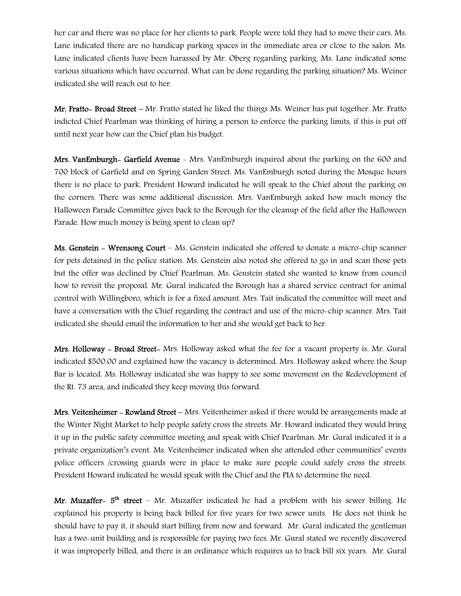her car and there was no place for her clients to park. People were told they had to move their cars. Ms. Lane indicated there are no handicap parking spaces in the immediate area or close to the salon. Ms. Lane indicated clients have been harassed by Mr. Oberg regarding parking. Ms. Lane indicated some various situations which have occurred. What can be done regarding the parking situation? Ms. Weiner indicated she will reach out to her.

Mr. Fratto- Broad Street – Mr. Fratto stated he liked the things Ms. Weiner has put together. Mr. Fratto indicted Chief Pearlman was thinking of hiring a person to enforce the parking limits, if this is put off until next year how can the Chief plan his budget.

Mrs. VanEmburgh- Garfield Avenue - Mrs. VanEmburgh inquired about the parking on the 600 and 700 block of Garfield and on Spring Garden Street. Ms. VanEmburgh noted during the Mosque hours there is no place to park. President Howard indicated he will speak to the Chief about the parking on the corners. There was some additional discussion. Mrs. VanEmburgh asked how much money the Halloween Parade Committee gives back to the Borough for the cleanup of the field after the Halloween Parade. How much money is being spent to clean up?

Ms. Genstein - Wrensong Court – Ms. Genstein indicated she offered to donate a micro-chip scanner for pets detained in the police station. Ms. Genstein also noted she offered to go in and scan those pets but the offer was declined by Chief Pearlman. Ms. Genstein stated she wanted to know from council how to revisit the proposal. Mr. Gural indicated the Borough has a shared service contract for animal control with Willingboro, which is for a fixed amount. Mrs. Tait indicated the committee will meet and have a conversation with the Chief regarding the contract and use of the micro-chip scanner. Mrs. Tait indicated she should email the information to her and she would get back to her.

Mrs. Holloway - Broad Street- Mrs. Holloway asked what the fee for a vacant property is. Mr. Gural indicated \$500.00 and explained how the vacancy is determined. Mrs. Holloway asked where the Soup Bar is located. Ms. Holloway indicated she was happy to see some movement on the Redevelopment of the Rt. 73 area, and indicated they keep moving this forward.

Mrs. Veitenheimer - Rowland Street - Mrs. Veitenheimer asked if there would be arrangements made at the Winter Night Market to help people safety cross the streets. Mr. Howard indicated they would bring it up in the public safety committee meeting and speak with Chief Pearlman. Mr. Gural indicated it is a private organization's event. Ms. Veitenheimer indicated when she attended other communities' events police officers /crossing guards were in place to make sure people could safely cross the streets. President Howard indicated he would speak with the Chief and the PIA to determine the need.

Mr. Muzaffer-  $5<sup>th</sup>$  street – Mr. Muzaffer indicated he had a problem with his sewer billing. He explained his property is being back billed for five years for two sewer units. He does not think he should have to pay it, it should start billing from now and forward. Mr. Gural indicated the gentleman has a two-unit building and is responsible for paying two fees. Mr. Gural stated we recently discovered it was improperly billed, and there is an ordinance which requires us to back bill six years. Mr. Gural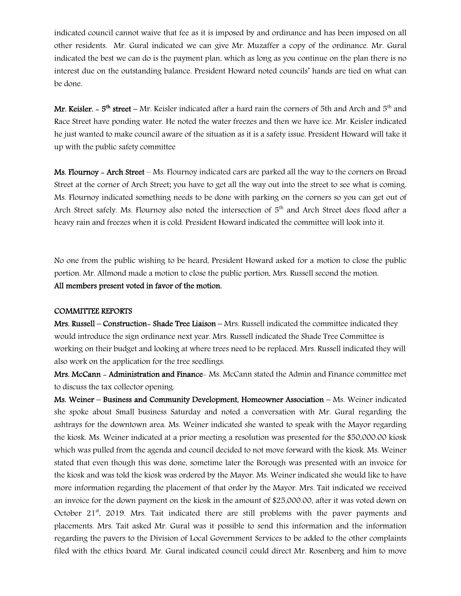indicated council cannot waive that fee as it is imposed by and ordinance and has been imposed on all other residents. Mr. Gural indicated we can give Mr. Muzaffer a copy of the ordinance. Mr. Gural indicated the best we can do is the payment plan, which as long as you continue on the plan there is no interest due on the outstanding balance. President Howard noted councils' hands are tied on what can be done.

Mr. Keisler.  $-5<sup>th</sup>$  street – Mr. Keisler indicated after a hard rain the corners of 5th and Arch and  $5<sup>th</sup>$  and Race Street have ponding water. He noted the water freezes and then we have ice. Mr. Keisler indicated he just wanted to make council aware of the situation as it is a safety issue. President Howard will take it up with the public safety committee

Ms. Flournoy – Arch Street – Ms. Flournoy indicated cars are parked all the way to the corners on Broad Street at the corner of Arch Street; you have to get all the way out into the street to see what is coming. Ms. Flournoy indicated something needs to be done with parking on the corners so you can get out of Arch Street safely. Ms. Flournoy also noted the intersection of 5<sup>th</sup> and Arch Street does flood after a heavy rain and freezes when it is cold. President Howard indicated the committee will look into it.

No one from the public wishing to be heard, President Howard asked for a motion to close the public portion. Mr. Allmond made a motion to close the public portion, Mrs. Russell second the motion. All members present voted in favor of the motion.

#### COMMITTEE REPORTS

Mrs. Russell – Construction- Shade Tree Liaison – Mrs. Russell indicated the committee indicated they would introduce the sign ordinance next year. Mrs. Russell indicated the Shade Tree Committee is working on their budget and looking at where trees need to be replaced. Mrs. Russell indicated they will also work on the application for the tree seedlings.

Mrs. McCann - Administration and Finance- Ms. McCann stated the Admin and Finance committee met to discuss the tax collector opening.

Ms. Weiner – Business and Community Development, Homeowner Association – Ms. Weiner indicated she spoke about Small business Saturday and noted a conversation with Mr. Gural regarding the ashtrays for the downtown area. Ms. Weiner indicated she wanted to speak with the Mayor regarding the kiosk. Ms. Weiner indicated at a prior meeting a resolution was presented for the \$50,000.00 kiosk which was pulled from the agenda and council decided to not move forward with the kiosk. Ms. Weiner stated that even though this was done, sometime later the Borough was presented with an invoice for the kiosk and was told the kiosk was ordered by the Mayor. Ms. Weiner indicated she would like to have more information regarding the placement of that order by the Mayor. Mrs. Tait indicated we received an invoice for the down payment on the kiosk in the amount of \$25,000.00, after it was voted down on October 21<sup>st</sup>, 2019. Mrs. Tait indicated there are still problems with the paver payments and placements. Mrs. Tait asked Mr. Gural was it possible to send this information and the information regarding the pavers to the Division of Local Government Services to be added to the other complaints filed with the ethics board. Mr. Gural indicated council could direct Mr. Rosenberg and him to move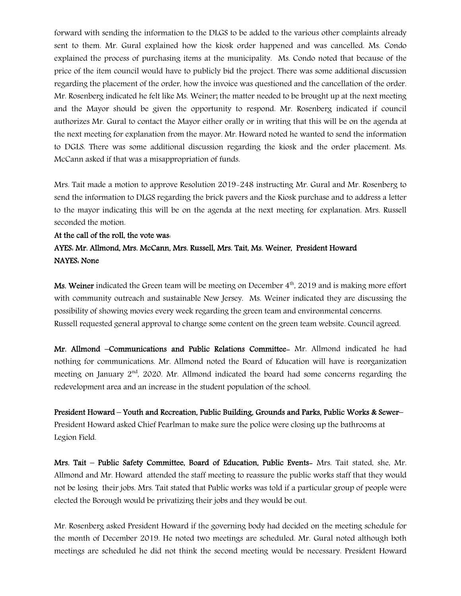forward with sending the information to the DLGS to be added to the various other complaints already sent to them. Mr. Gural explained how the kiosk order happened and was cancelled. Ms. Condo explained the process of purchasing items at the municipality. Ms. Condo noted that because of the price of the item council would have to publicly bid the project. There was some additional discussion regarding the placement of the order, how the invoice was questioned and the cancellation of the order. Mr. Rosenberg indicated he felt like Ms. Weiner; the matter needed to be brought up at the next meeting and the Mayor should be given the opportunity to respond. Mr. Rosenberg indicated if council authorizes Mr. Gural to contact the Mayor either orally or in writing that this will be on the agenda at the next meeting for explanation from the mayor. Mr. Howard noted he wanted to send the information to DGLS. There was some additional discussion regarding the kiosk and the order placement. Ms. McCann asked if that was a misappropriation of funds.

Mrs. Tait made a motion to approve Resolution 2019-248 instructing Mr. Gural and Mr. Rosenberg to send the information to DLGS regarding the brick pavers and the Kiosk purchase and to address a letter to the mayor indicating this will be on the agenda at the next meeting for explanation. Mrs. Russell seconded the motion.

# At the call of the roll, the vote was: AYES: Mr. Allmond, Mrs. McCann, Mrs. Russell, Mrs. Tait, Ms. Weiner, President Howard NAYES: None

Ms. Weiner indicated the Green team will be meeting on December 4<sup>th</sup>, 2019 and is making more effort with community outreach and sustainable New Jersey. Ms. Weiner indicated they are discussing the possibility of showing movies every week regarding the green team and environmental concerns. Russell requested general approval to change some content on the green team website. Council agreed.

Mr. Allmond –Communications and Public Relations Committee- Mr. Allmond indicated he had nothing for communications. Mr. Allmond noted the Board of Education will have is reorganization meeting on January 2nd, 2020. Mr. Allmond indicated the board had some concerns regarding the redevelopment area and an increase in the student population of the school.

President Howard – Youth and Recreation, Public Building, Grounds and Parks, Public Works & Sewer– President Howard asked Chief Pearlman to make sure the police were closing up the bathrooms at Legion Field.

Mrs. Tait – Public Safety Committee, Board of Education, Public Events- Mrs. Tait stated, she, Mr. Allmond and Mr. Howard attended the staff meeting to reassure the public works staff that they would not be losing their jobs. Mrs. Tait stated that Public works was told if a particular group of people were elected the Borough would be privatizing their jobs and they would be out.

Mr. Rosenberg asked President Howard if the governing body had decided on the meeting schedule for the month of December 2019. He noted two meetings are scheduled. Mr. Gural noted although both meetings are scheduled he did not think the second meeting would be necessary. President Howard